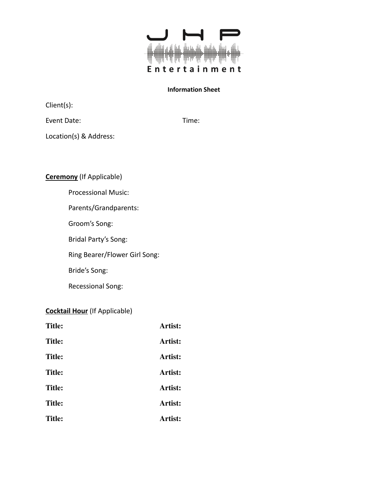

Client(s):

Event Date: Time:

Location(s) & Address:

**Ceremony** (If Applicable)

Processional Music:

Parents/Grandparents:

Groom's Song:

Bridal Party's Song:

Ring Bearer/Flower Girl Song:

Bride's Song:

Recessional Song:

## **Cocktail Hour** (If Applicable)

| <b>Title:</b> | Artist: |
|---------------|---------|
| <b>Title:</b> | Artist: |
| <b>Title:</b> | Artist: |
| <b>Title:</b> | Artist: |
| <b>Title:</b> | Artist: |
| <b>Title:</b> | Artist: |
| <b>Title:</b> | Artist: |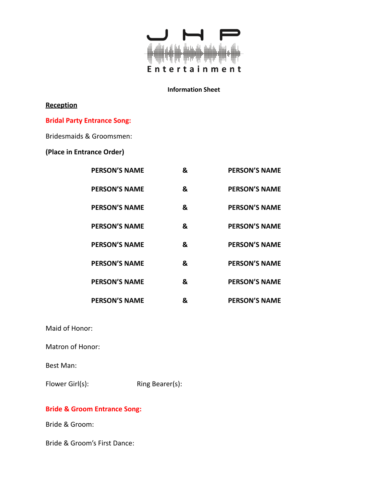

## **Reception**

## **Bridal Party Entrance Song:**

## Bridesmaids & Groomsmen:

# **(Place in Entrance Order)**

| <b>PERSON'S NAME</b> | & | <b>PERSON'S NAME</b> |
|----------------------|---|----------------------|
| <b>PERSON'S NAME</b> | & | <b>PERSON'S NAME</b> |
| <b>PERSON'S NAME</b> | & | <b>PERSON'S NAME</b> |
| <b>PERSON'S NAME</b> | & | <b>PERSON'S NAME</b> |
| <b>PERSON'S NAME</b> | & | <b>PERSON'S NAME</b> |
| <b>PERSON'S NAME</b> | & | <b>PERSON'S NAME</b> |
| <b>PERSON'S NAME</b> | & | <b>PERSON'S NAME</b> |
| <b>PERSON'S NAME</b> | & | <b>PERSON'S NAME</b> |

Maid of Honor:

Matron of Honor:

Best Man:

Flower Girl(s): Ring Bearer(s):

# **Bride & Groom Entrance Song:**

Bride & Groom:

Bride & Groom's First Dance: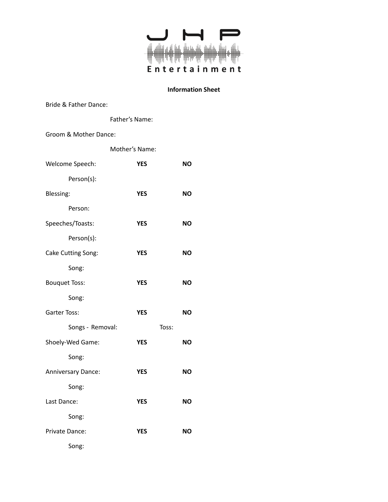

Bride & Father Dance:

Father's Name:

#### Groom & Mother Dance:

|                      | Mother's Name: |       |           |
|----------------------|----------------|-------|-----------|
| Welcome Speech:      | <b>YES</b>     |       | <b>NO</b> |
| Person(s):           |                |       |           |
| Blessing:            | <b>YES</b>     |       | <b>NO</b> |
| Person:              |                |       |           |
| Speeches/Toasts:     | <b>YES</b>     |       | <b>NO</b> |
| Person(s):           |                |       |           |
| Cake Cutting Song:   | <b>YES</b>     |       | <b>NO</b> |
| Song:                |                |       |           |
| <b>Bouquet Toss:</b> | <b>YES</b>     |       | <b>NO</b> |
| Song:                |                |       |           |
| Garter Toss:         | <b>YES</b>     |       | <b>NO</b> |
| Songs - Removal:     |                | Toss: |           |
| Shoely-Wed Game:     | <b>YES</b>     |       | <b>NO</b> |
| Song:                |                |       |           |
| Anniversary Dance:   | <b>YES</b>     |       | <b>NO</b> |
| Song:                |                |       |           |
| Last Dance:          | <b>YES</b>     |       | <b>NO</b> |
| Song:                |                |       |           |
| Private Dance:       | <b>YES</b>     |       | ΝO        |
| Song:                |                |       |           |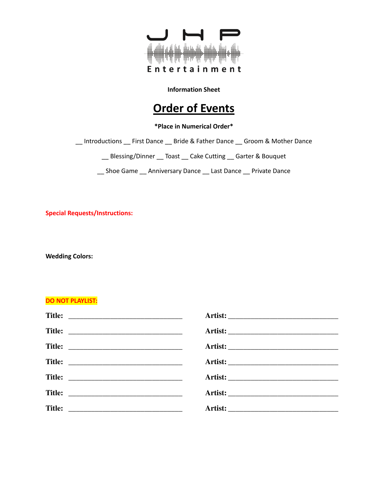

# **Order of Events**

**\*Place in Numerical Order\***

\_\_ Introductions \_\_ First Dance \_\_ Bride & Father Dance \_\_ Groom & Mother Dance

\_\_ Blessing/Dinner \_\_ Toast \_\_ Cake Cutting \_\_ Garter & Bouquet

\_\_ Shoe Game \_\_ Anniversary Dance \_\_ Last Dance \_\_ Private Dance

**Special Requests/Instructions:**

**Wedding Colors:**

#### **DO NOT PLAYLIST:**